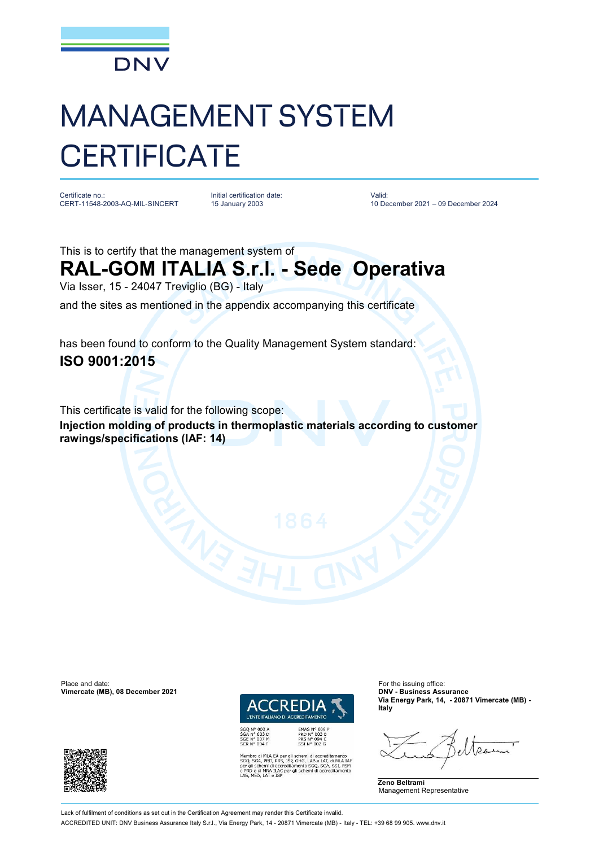

## MANAGEMENT SYSTEM **CERTIFICATE**

Certificate no.: CERT-11548-2003-AQ-MIL-SINCERT Initial certification date: 15 January 2003

Valid: 10 December 2021 – 09 December 2024

This is to certify that the management system of

## **RAL-GOM ITALIA S.r.l. - Sede Operativa**

Via Isser, 15 - 24047 Treviglio (BG) - Italy

and the sites as mentioned in the appendix accompanying this certificate

has been found to conform to the Quality Management System standard: **ISO 9001:2015**

This certificate is valid for the following scope:

**Injection molding of products in thermoplastic materials according to customer rawings/specifications (IAF: 14)**

Place and date: For the issuing office:<br> **Vimercate (MB), 08 December 2021 Contract COMPUTE CONTACT CONTRACT CONTRACT CONTRACT CONTRACT CONTRACT CONTRACT Vimercate (MB), 08 December 2021** 



PRD Nº 003 B<br>PRS Nº 094 C<br>SSI Nº 002 G

SGQ N° 003 A<br>SGA N° 003 D<br>SGE N° 007 M<br>SCR N° 004 F

MLA EA per gli schemi di accreditamento<br>, PRD, PRS, ISP, GHG, LAB e LAT, di MLA IAF<br>emi di accreditamento SGQ, SGA, SSI, FSM schemi di accr ILAC per gli schemi di accr

**Via Energy Park, 14, - 20871 Vimercate (MB) - Italy**



Lack of fulfilment of conditions as set out in the Certification Agreement may render this Certificate invalid.

ACCREDITED UNIT: DNV Business Assurance Italy S.r.l., Via Energy Park, 14 - 20871 Vimercate (MB) - Italy - TEL: +39 68 99 905. [www.dnv.it](http://www.dnv.it)